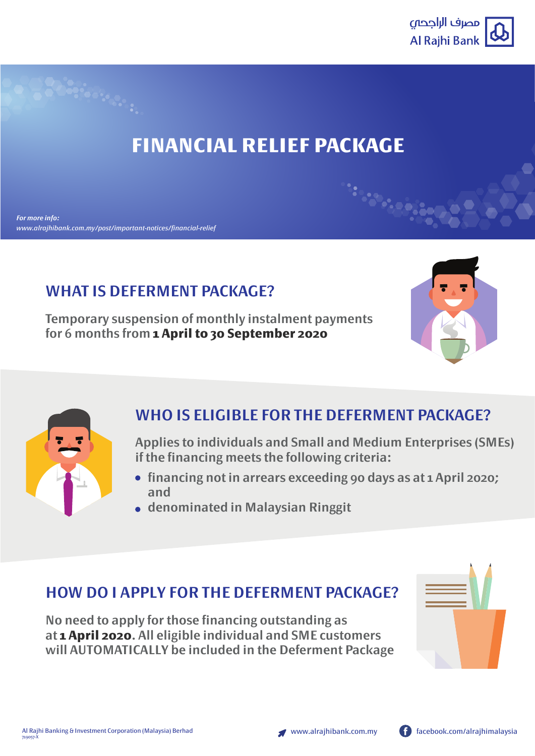

# **FINANCIAL RELIEF PACKAGE**

## **WHAT IS DEFERMENT PACKAGE?**

**Temporary suspension of monthly instalment payments for 6 months from 1 April to 30 September 2020**





### **WHO IS ELIGIBLE FOR THE DEFERMENT PACKAGE?**

**Applies to individuals and Small and Medium Enterprises (SMEs) if the financing meets the following criteria:**

- **financing not in arrears exceeding 90 days as at 1 April 2020; and**
- **denominated in Malaysian Ringgit**

### **HOW DO I APPLY FOR THE DEFERMENT PACKAGE?**

**No need to apply for those financing outstanding as at 1 April 2020. All eligible individual and SME customers will AUTOMATICALLY be included in the Deferment Package**